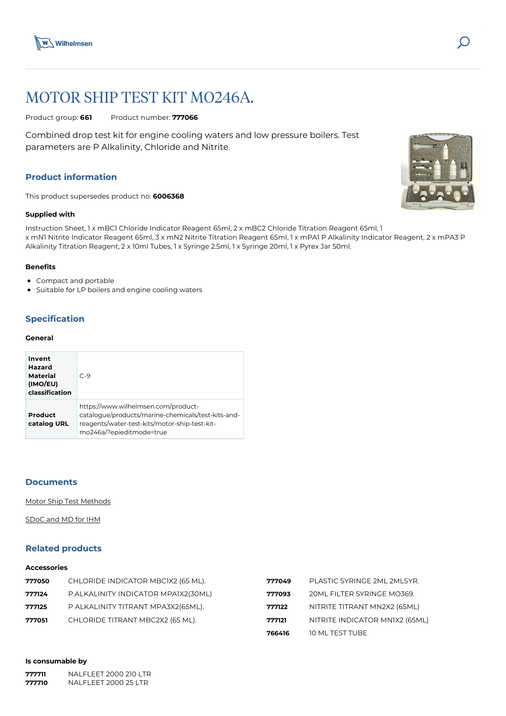



# MOTOR SHIP TEST KIT MO246A.

Product group: **661** Product number: **777066**

Combined drop test kit for engine cooling waters and low pressure boilers. Test parameters are P Alkalinity, Chloride and Nitrite.

## **Product information**

This product supersedes product no: **6006368**

## **Supplied with**

Instruction Sheet, 1 x mBC1 Chloride Indicator Reagent 65ml, 2 x mBC2 Chloride Titration Reagent 65ml, 1 x mN1 Nitrite Indicator Reagent 65ml, 3 x mN2 Nitrite Titration Reagent 65ml, 1 x mPA1 P Alkalinity Indicator Reagent, 2 x mPA3 P Alkalinity Titration Reagent, 2 x 10ml Tubes, 1 x Syringe 2.5ml, 1 x Syringe 20ml, 1 x Pyrex Jar 50ml.

## **Benefits**

- Compact and portable
- Suitable for LP boilers and engine cooling waters

## **Specification**

#### **General**

| Invent<br>Hazard<br>Material<br>(IMO/EU)<br>classification | $C-9$                                                                                                                                                                  |
|------------------------------------------------------------|------------------------------------------------------------------------------------------------------------------------------------------------------------------------|
| Product<br>catalog URL                                     | https://www.wilhelmsen.com/product-<br>catalogue/products/marine-chemicals/test-kits-and-<br>reagents/water-test-kits/motor-ship-test-kit-<br>mo246a/?epieditmode=true |

## **Documents**

[Motor Ship Test Methods](https://media.bluestonepim.com/e4deb258-8122-4fdf-9d12-b42f3e0e812d/f4dd97c5-6b54-4068-948a-1ceddcb7ccf1/5GMI1bFR60aLdPvBx5J43Kzmd/sp6Lv7pLwATlFHhAuwmRxFp1X.pdf)

[SDoC and MD for IHM](https://media.bluestonepim.com/e4deb258-8122-4fdf-9d12-b42f3e0e812d/8acf4b27-a865-4904-8cf9-b63568ab9dde/oNE0nu3IW2jl1X2qUbq7P7iZY/TF6seOSB1ZhUBxBpQT4lVtV4p.pdf)

## **Related products**

#### **Accessories**

|        |                                     | 766416 | 10 ML TEST TUBE                |
|--------|-------------------------------------|--------|--------------------------------|
| 777051 | CHLORIDE TITRANT MBC2X2 (65 ML).    | 777121 | NITRITE INDICATOR MNIX2 (65ML) |
| 777125 | P ALKALINITY TITRANT MPA3X2(65ML).  | 777122 | NITRITE TITRANT MN2X2 (65ML)   |
| 777124 | P.ALKALINITY INDICATOR MPA1X2(30ML) | 777093 | 20ML FILTER SYRINGE MO369.     |
| 777050 | CHLORIDE INDICATOR MBCIX2 (65 ML).  | 777049 | PLASTIC SYRINGE 2ML 2MLSYR.    |

#### **Is consumable by**

| 777711 | NALELEET 2000 210 LTR |
|--------|-----------------------|
| 777710 | NALEL FFT 2000 25 LTR |